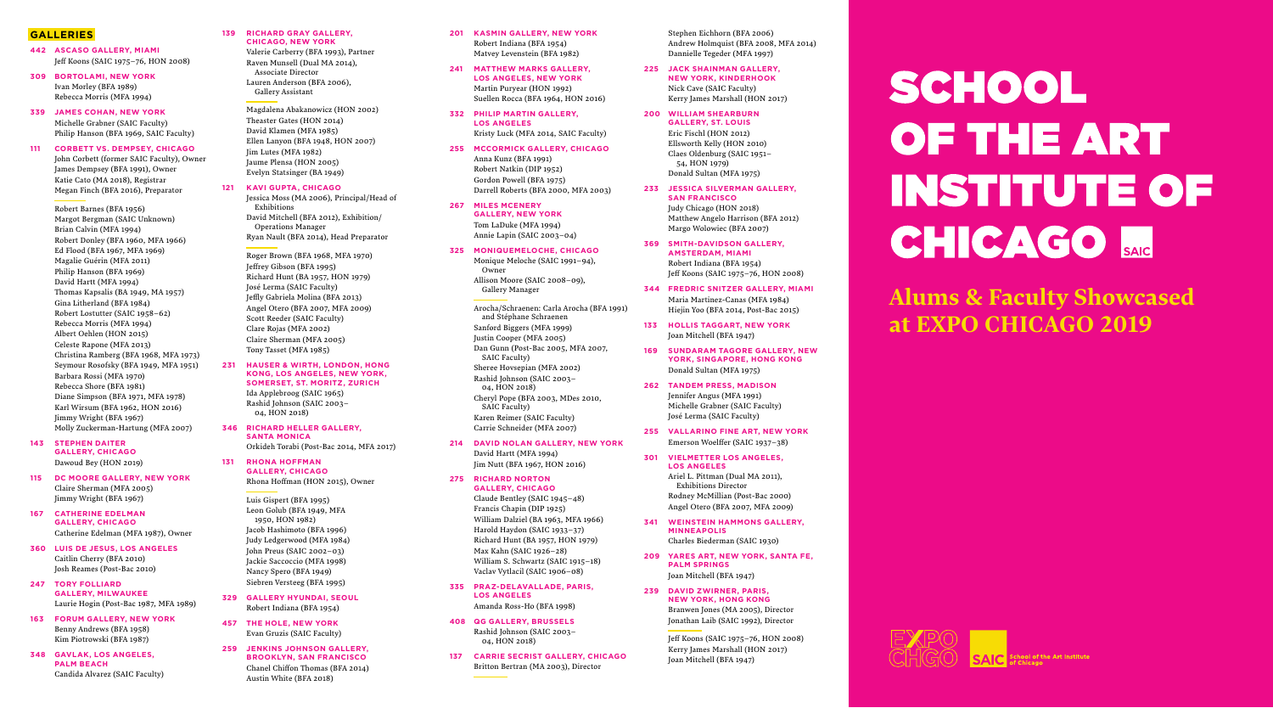## **GALLERIES**

#### **442 ASCASO GALLERY, MIAMI** Jeff Koons (SAIC 1975–76, HON 2008)

- **309 BORTOLAMI, NEW YORK** Ivan Morley (BFA 1989) Rebecca Morris (MFA 1994)
- **339 JAMES COHAN, NEW YORK** Michelle Grabner (SAIC Faculty) Philip Hanson (BFA 1969, SAIC Faculty)

#### **111 CORBETT VS. DEMPSEY, CHICAGO**

John Corbett (former SAIC Faculty), Owner James Dempsey (BFA 1991), Owner Katie Cato (MA 2018), Registrar Megan Finch (BFA 2016), Preparator

- Robert Barnes (BFA 1956) Margot Bergman (SAIC Unknown) Brian Calvin (MFA 1994) Robert Donley (BFA 1960, MFA 1966) Ed Flood (BFA 1967, MFA 1969) Magalie Guérin (MFA 2011) Philip Hanson (BFA 1969) David Hartt (MFA 1994) Thomas Kapsalis (BA 1949, MA 1957) Gina Litherland (BFA 1984) Robert Lostutter (SAIC 1958–62) Rebecca Morris (MFA 1994) Albert Oehlen (HON 2015) Celeste Rapone (MFA 2013) Christina Ramberg (BFA 1968, MFA 1973) Seymour Rosofsky (BFA 1949, MFA 1951) Barbara Rossi (MFA 1970) Rebecca Shore (BFA 1981) Diane Simpson (BFA 1971, MFA 1978) Karl Wirsum (BFA 1962, HON 2016) Jimmy Wright (BFA 1967) Molly Zuckerman-Hartung (MFA 2007)
- **143 STEPHEN DAITER GALLERY, CHICAGO** Dawoud Bey (HON 2019)
- **115 DC MOORE GALLERY, NEW YORK** Claire Sherman (MFA 2005) Jimmy Wright (BFA 1967)
- **167 CATHERINE EDELMAN GALLERY, CHICAGO** Catherine Edelman (MFA 1987), Owner
- **360 LUIS DE JESUS, LOS ANGELES** Caitlin Cherry (BFA 2010) Josh Reames (Post-Bac 2010)
- **247 TORY FOLLIARD GALLERY, MILWAUKEE** Laurie Hogin (Post-Bac 1987, MFA 1989)
- **163 FORUM GALLERY, NEW YORK** Benny Andrews (BFA 1958) Kim Piotrowski (BFA 1987)
- **348 GAVLAK, LOS ANGELES, PALM BEACH** Candida Alvarez (SAIC Faculty)

**139 RICHARD GRAY GALLERY, CHICAGO, NEW YORK**

Valerie Carberry (BFA 1993), Partner Raven Munsell (Dual MA 2014), Associate Director Lauren Anderson (BFA 2006), Gallery Assistant

Magdalena Abakanowicz (HON 2002) Theaster Gates (HON 2014) David Klamen (MFA 1985) Ellen Lanyon (BFA 1948, HON 2007) Jim Lutes (MFA 1982) Jaume Plensa (HON 2005) Evelyn Statsinger (BA 1949)

# **121 KAVI GUPTA, CHICAGO**

Jessica Moss (MA 2006), Principal/Head of Exhibitions David Mitchell (BFA 2012), Exhibition/ Operations Manager Ryan Nault (BFA 2014), Head Preparator

Roger Brown (BFA 1968, MFA 1970) Jeffrey Gibson (BFA 1995) Richard Hunt (BA 1957, HON 1979) José Lerma (SAIC Faculty) Jeffly Gabriela Molina (BFA 2013) Angel Otero (BFA 2007, MFA 2009) Scott Reeder (SAIC Faculty) Clare Rojas (MFA 2002) Claire Sherman (MFA 2005) Tony Tasset (MFA 1985)

**231 HAUSER & WIRTH, LONDON, HONG KONG, LOS ANGELES, NEW YORK, SOMERSET, ST. MORITZ, ZURICH** Ida Applebroog (SAIC 1965) Rashid Johnson (SAIC 2003– 04, HON 2018)

**346 RICHARD HELLER GALLERY, SANTA MONICA** Orkideh Torabi (Post-Bac 2014, MFA 2017)

**131 RHONA HOFFMAN GALLERY, CHICAGO** Rhona Hoffman (HON 2015), Owner

> Luis Gispert (BFA 1995) Leon Golub (BFA 1949, MFA 1950, HON 1982) Jacob Hashimoto (BFA 1996) Judy Ledgerwood (MFA 1984) John Preus (SAIC 2002–03) Jackie Saccoccio (MFA 1998) Nancy Spero (BFA 1949) Siebren Versteeg (BFA 1995)

- **329 GALLERY HYUNDAI, SEOUL** Robert Indiana (BFA 1954)
- **457 THE HOLE, NEW YORK** Evan Gruzis (SAIC Faculty)
- **259 JENKINS JOHNSON GALLERY, BROOKLYN, SAN FRANCISCO** Chanel Chiffon Thomas (BFA 2014) Austin White (BFA 2018)

#### **201 KASMIN GALLERY, NEW YORK** Robert Indiana (BFA 1954) Matvey Levenstein (BFA 1982)

- **241 MATTHEW MARKS GALLERY, LOS ANGELES, NEW YORK** Martin Puryear (HON 1992) Suellen Rocca (BFA 1964, HON 2016)
- **332 PHILIP MARTIN GALLERY, LOS ANGELES** Kristy Luck (MFA 2014, SAIC Faculty)
- **255 MCCORMICK GALLERY, CHICAGO** Anna Kunz (BFA 1991) Robert Natkin (DIP 1952) Gordon Powell (BFA 1975) Darrell Roberts (BFA 2000, MFA 2003)
- **267 MILES MCENERY GALLERY, NEW YORK** Tom LaDuke (MFA 1994) Annie Lapin (SAIC 2003–04)
- **325 MONIQUEMELOCHE, CHICAGO** Monique Meloche (SAIC 1991–94), Owner Allison Moore (SAIC 2008–09), Gallery Manager
	- Arocha/Schraenen: Carla Arocha (BFA 1991) and Stéphane Schraenen Sanford Biggers (MFA 1999) Justin Cooper (MFA 2005) Dan Gunn (Post-Bac 2005, MFA 2007, SAIC Faculty) Sheree Hovsepian (MFA 2002) Rashid Johnson (SAIC 2003– 04, HON 2018) Cheryl Pope (BFA 2003, MDes 2010, SAIC Faculty) Karen Reimer (SAIC Faculty) Carrie Schneider (MFA 2007)
- **214 DAVID NOLAN GALLERY, NEW YORK** David Hartt (MFA 1994) Jim Nutt (BFA 1967, HON 2016)
- **275 RICHARD NORTON GALLERY, CHICAGO** Claude Bentley (SAIC 1945–48) Francis Chapin (DIP 1925) William Dalziel (BA 1963, MFA 1966) Harold Haydon (SAIC 1933–37) Richard Hunt (BA 1957, HON 1979) Max Kahn (SAIC 1926–28) William S. Schwartz (SAIC 1915–18) Vaclav Vytlacil (SAIC 1906–08)
- **335 PRAZ-DELAVALLADE, PARIS, LOS ANGELES** Amanda Ross-Ho (BFA 1998)
- **408 QG GALLERY, BRUSSELS** Rashid Johnson (SAIC 2003– 04, HON 2018)
- **137 CARRIE SECRIST GALLERY, CHICAGO** Britton Bertran (MA 2003), Director

Stephen Eichhorn (BFA 2006) Andrew Holmquist (BFA 2008, MFA 2014) Dannielle Tegeder (MFA 1997)

- **225 JACK SHAINMAN GALLERY, NEW YORK, KINDERHOOK** Nick Cave (SAIC Faculty) Kerry James Marshall (HON 2017)
- **200 WILLIAM SHEARBURN GALLERY, ST. LOUIS** Eric Fischl (HON 2012) Ellsworth Kelly (HON 2010) Claes Oldenburg (SAIC 1951– 54, HON 1979) Donald Sultan (MFA 1975)
- **233 JESSICA SILVERMAN GALLERY, SAN FRANCISCO** Judy Chicago (HON 2018) Matthew Angelo Harrison (BFA 2012) Margo Wolowiec (BFA 2007)
- **369 SMITH-DAVIDSON GALLERY, AMSTERDAM, MIAMI** Robert Indiana (BFA 1954) Jeff Koons (SAIC 1975–76, HON 2008)
- **344 FREDRIC SNITZER GALLERY, MIAMI** Maria Martinez-Canas (MFA 1984) Hiejin Yoo (BFA 2014, Post-Bac 2015)
- **133 HOLLIS TAGGART, NEW YORK** Joan Mitchell (BFA 1947)
- **169 SUNDARAM TAGORE GALLERY, NEW YORK, SINGAPORE, HONG KONG** Donald Sultan (MFA 1975)
- **262 TANDEM PRESS, MADISON** Jennifer Angus (MFA 1991) Michelle Grabner (SAIC Faculty) José Lerma (SAIC Faculty)
- **255 VALLARINO FINE ART, NEW YORK** Emerson Woelffer (SAIC 1937–38)
- **301 VIELMETTER LOS ANGELES, LOS ANGELES** Ariel L. Pittman (Dual MA 2011), Exhibitions Director Rodney McMillian (Post-Bac 2000) Angel Otero (BFA 2007, MFA 2009)
- **341 WEINSTEIN HAMMONS GALLERY, MINNEAPOLIS** Charles Biederman (SAIC 1930)
- **209 YARES ART, NEW YORK, SANTA FE, PALM SPRINGS** Joan Mitchell (BFA 1947)
- **239 DAVID ZWIRNER, PARIS, NEW YORK, HONG KONG** Branwen Jones (MA 2005), Director Jonathan Laib (SAIC 1992), Director

Jeff Koons (SAIC 1975–76, HON 2008) Kerry James Marshall (HON 2017) Joan Mitchell (BFA 1947)

# SCHOOL **OF THE ART INSTITUTE OF** CHICAGO SAIC

# Alums & Faculty Showcased at EXPO CHICAGO 2019



chool of the Art Institute